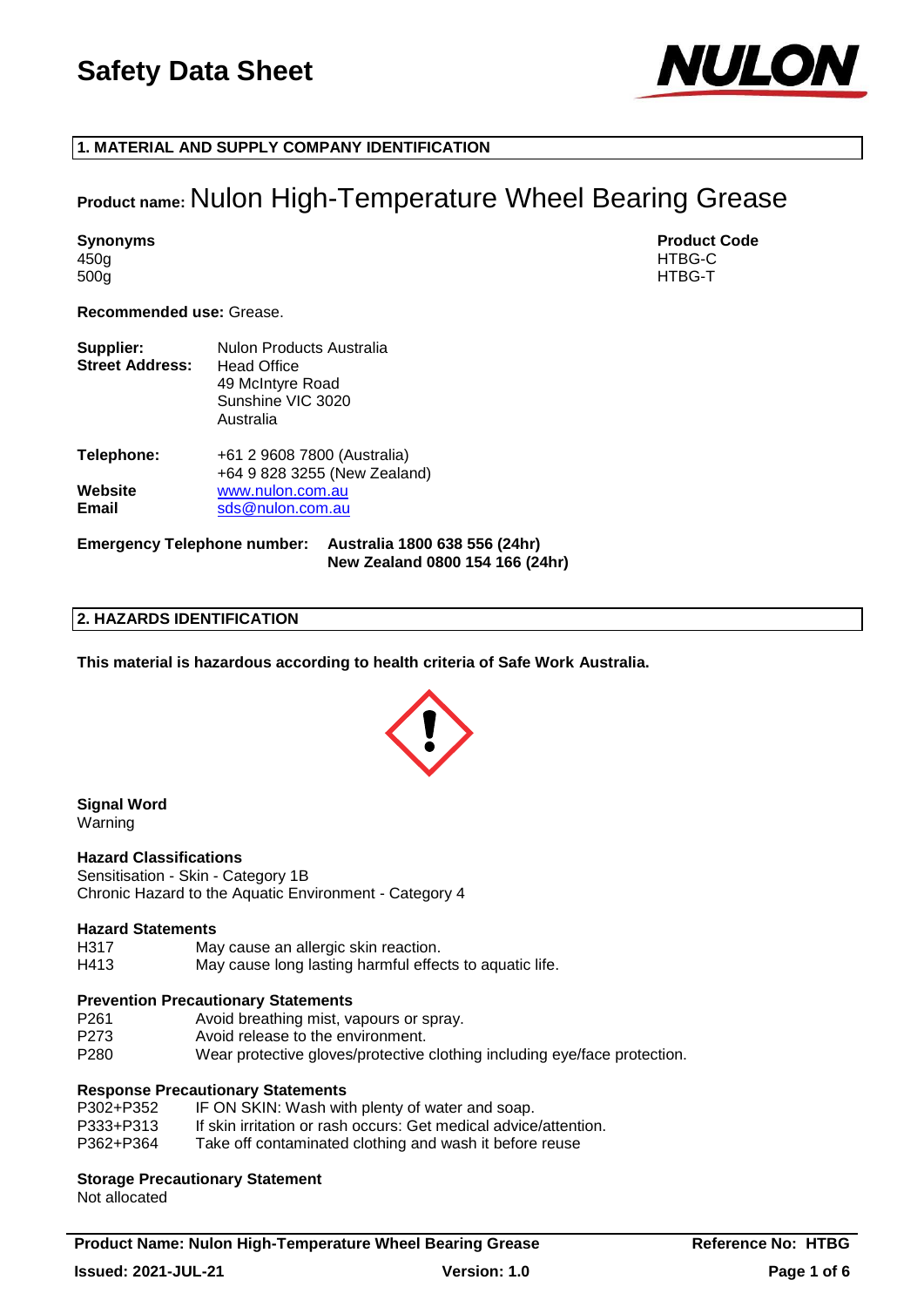

## **1. MATERIAL AND SUPPLY COMPANY IDENTIFICATION**

## **Product name:** Nulon High-Temperature Wheel Bearing Grease

450g HTBG-C 500g HTBG-T

**Synonyms Product Code** 

**Recommended use:** Grease.

| Supplier:<br><b>Street Address:</b> | Nulon Products Australia<br><b>Head Office</b><br>49 McIntyre Road<br>Sunshine VIC 3020<br>Australia |
|-------------------------------------|------------------------------------------------------------------------------------------------------|
| Telephone:                          | +61 2 9608 7800 (Australia)<br>+64 9 828 3255 (New Zealand)                                          |
| Website<br>Email                    | www.nulon.com.au<br>sds@nulon.com.au                                                                 |

**Emergency Telephone number: Australia 1800 638 556 (24hr) New Zealand 0800 154 166 (24hr)**

#### **2. HAZARDS IDENTIFICATION**

**This material is hazardous according to health criteria of Safe Work Australia.**



#### **Signal Word** Warning

**Hazard Classifications**

Sensitisation - Skin - Category 1B Chronic Hazard to the Aquatic Environment - Category 4

#### **Hazard Statements**

H317 May cause an allergic skin reaction.

H413 May cause long lasting harmful effects to aquatic life.

#### **Prevention Precautionary Statements**

P261 Avoid breathing mist, vapours or spray. P273 Avoid release to the environment. P280 Wear protective gloves/protective clothing including eye/face protection.

## **Response Precautionary Statements**

| P302+P352 | IF ON SKIN: Wash with plenty of water and soap.                  |
|-----------|------------------------------------------------------------------|
| P333+P313 | If skin irritation or rash occurs: Get medical advice/attention. |
| P362+P364 | Take off contaminated clothing and wash it before reuse          |

#### **Storage Precautionary Statement**

Not allocated

**Product Name: Nulon High-Temperature Wheel Bearing Grease <b>Reference No: HTBG Issued: 2021-JUL-21 Version: 1.0 Page 1 of 6**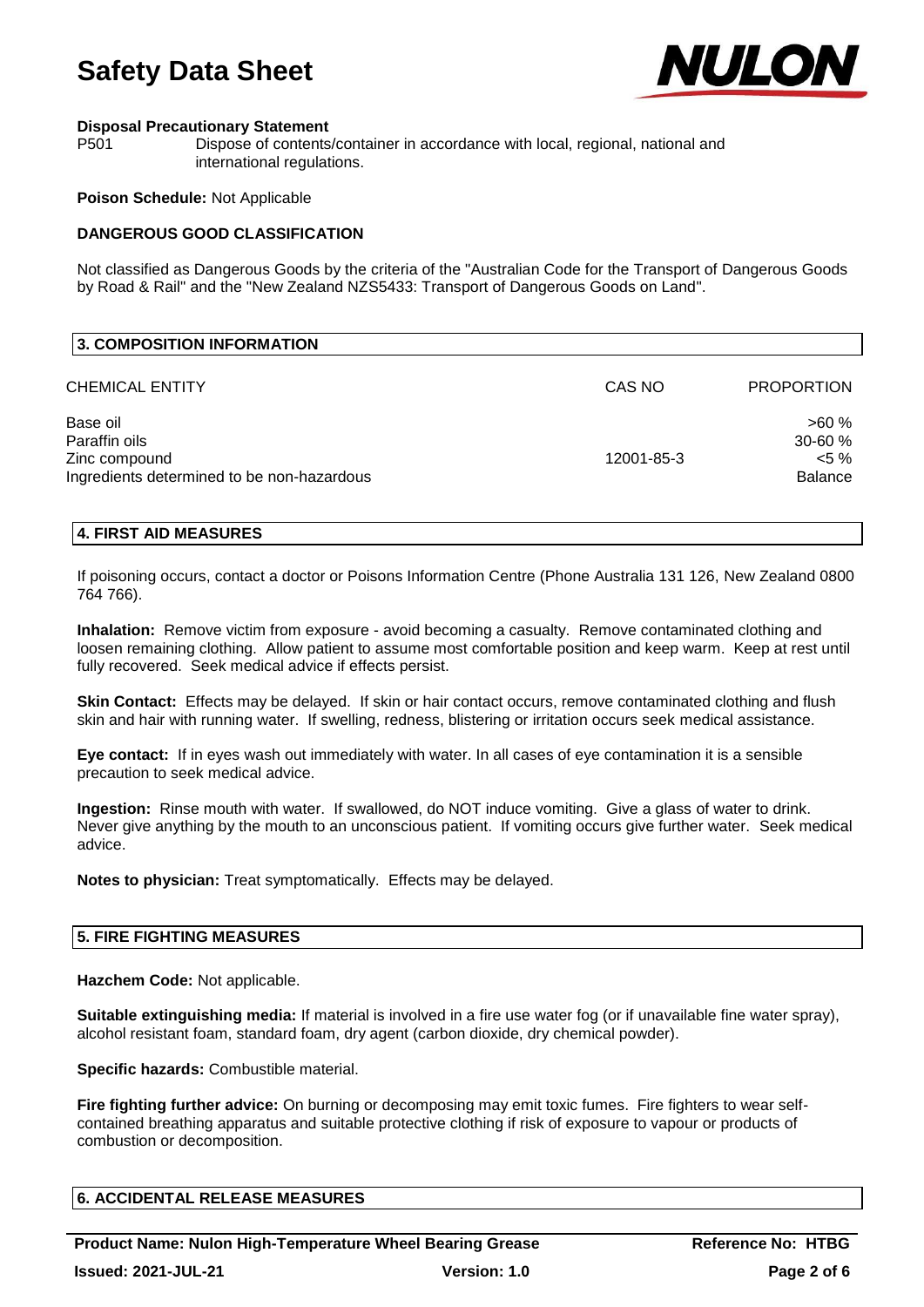

#### **Disposal Precautionary Statement**

P501 Dispose of contents/container in accordance with local, regional, national and international regulations.

#### **Poison Schedule:** Not Applicable

## **DANGEROUS GOOD CLASSIFICATION**

Not classified as Dangerous Goods by the criteria of the "Australian Code for the Transport of Dangerous Goods by Road & Rail" and the "New Zealand NZS5433: Transport of Dangerous Goods on Land".

| <b>3. COMPOSITION INFORMATION</b>                                                        |            |                                                    |
|------------------------------------------------------------------------------------------|------------|----------------------------------------------------|
| CHEMICAL ENTITY                                                                          | CAS NO     | <b>PROPORTION</b>                                  |
| Base oil<br>Paraffin oils<br>Zinc compound<br>Ingredients determined to be non-hazardous | 12001-85-3 | >60%<br>$30 - 60 \%$<br>$< 5 \%$<br><b>Balance</b> |

## **4. FIRST AID MEASURES**

If poisoning occurs, contact a doctor or Poisons Information Centre (Phone Australia 131 126, New Zealand 0800 764 766).

**Inhalation:** Remove victim from exposure - avoid becoming a casualty. Remove contaminated clothing and loosen remaining clothing. Allow patient to assume most comfortable position and keep warm. Keep at rest until fully recovered. Seek medical advice if effects persist.

**Skin Contact:** Effects may be delayed. If skin or hair contact occurs, remove contaminated clothing and flush skin and hair with running water. If swelling, redness, blistering or irritation occurs seek medical assistance.

**Eye contact:** If in eyes wash out immediately with water. In all cases of eye contamination it is a sensible precaution to seek medical advice.

**Ingestion:** Rinse mouth with water. If swallowed, do NOT induce vomiting. Give a glass of water to drink. Never give anything by the mouth to an unconscious patient. If vomiting occurs give further water. Seek medical advice.

**Notes to physician:** Treat symptomatically. Effects may be delayed.

#### **5. FIRE FIGHTING MEASURES**

**Hazchem Code:** Not applicable.

**Suitable extinguishing media:** If material is involved in a fire use water fog (or if unavailable fine water spray), alcohol resistant foam, standard foam, dry agent (carbon dioxide, dry chemical powder).

**Specific hazards:** Combustible material.

**Fire fighting further advice:** On burning or decomposing may emit toxic fumes. Fire fighters to wear selfcontained breathing apparatus and suitable protective clothing if risk of exposure to vapour or products of combustion or decomposition.

## **6. ACCIDENTAL RELEASE MEASURES**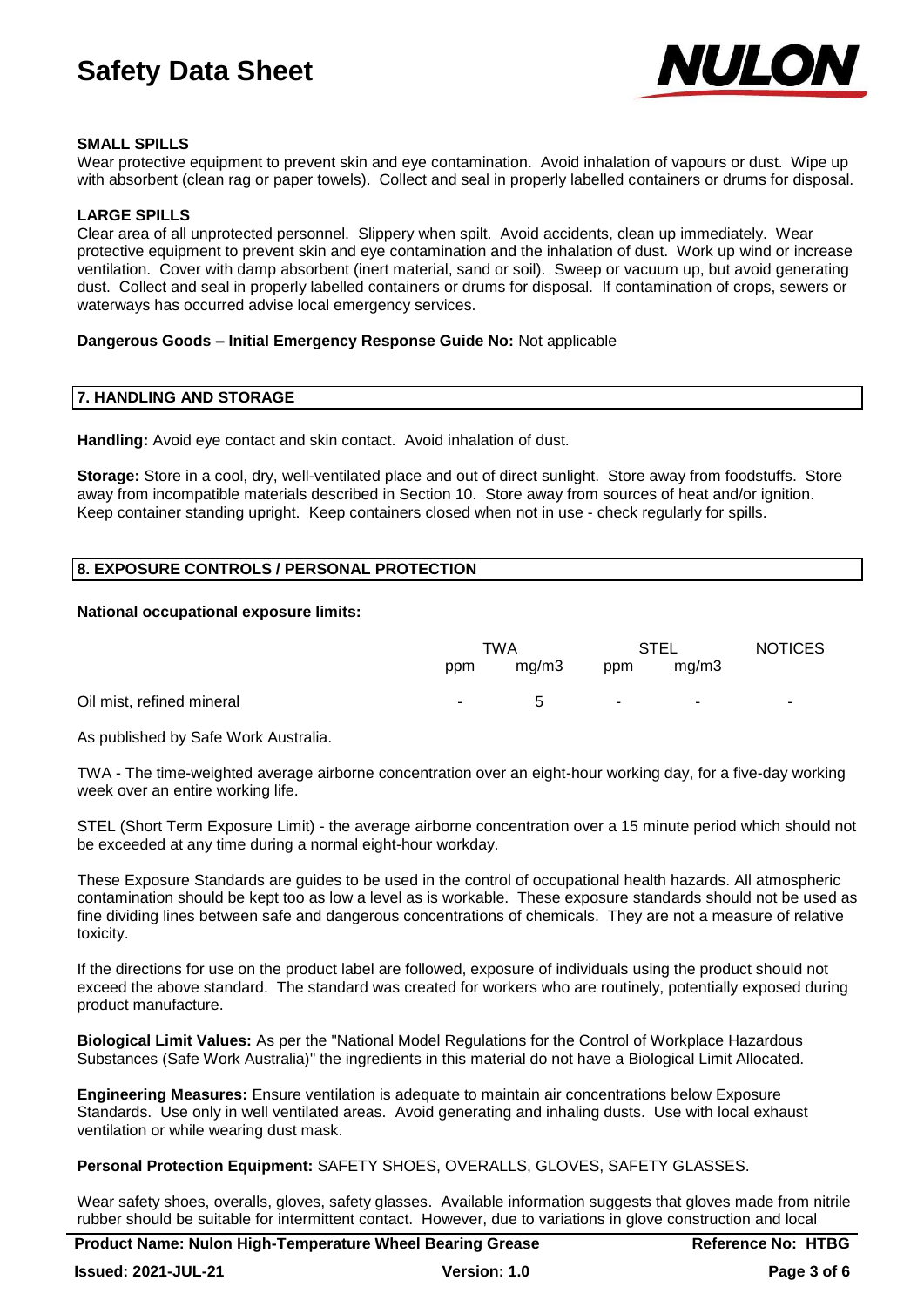

## **SMALL SPILLS**

Wear protective equipment to prevent skin and eye contamination. Avoid inhalation of vapours or dust. Wipe up with absorbent (clean rag or paper towels). Collect and seal in properly labelled containers or drums for disposal.

#### **LARGE SPILLS**

Clear area of all unprotected personnel. Slippery when spilt. Avoid accidents, clean up immediately. Wear protective equipment to prevent skin and eye contamination and the inhalation of dust. Work up wind or increase ventilation. Cover with damp absorbent (inert material, sand or soil). Sweep or vacuum up, but avoid generating dust. Collect and seal in properly labelled containers or drums for disposal. If contamination of crops, sewers or waterways has occurred advise local emergency services.

#### **Dangerous Goods – Initial Emergency Response Guide No:** Not applicable

## **7. HANDLING AND STORAGE**

**Handling:** Avoid eye contact and skin contact. Avoid inhalation of dust.

**Storage:** Store in a cool, dry, well-ventilated place and out of direct sunlight. Store away from foodstuffs. Store away from incompatible materials described in Section 10. Store away from sources of heat and/or ignition. Keep container standing upright. Keep containers closed when not in use - check regularly for spills.

## **8. EXPOSURE CONTROLS / PERSONAL PROTECTION**

#### **National occupational exposure limits:**

|                           | TWA        |       | <b>STEL</b> |        | <b>NOTICES</b> |
|---------------------------|------------|-------|-------------|--------|----------------|
|                           | ppm        | mq/m3 | ppm         | mq/m3  |                |
| Oil mist, refined mineral | $\sim 100$ | -5    | ۰.          | $\sim$ | ۰.             |

As published by Safe Work Australia.

TWA - The time-weighted average airborne concentration over an eight-hour working day, for a five-day working week over an entire working life.

STEL (Short Term Exposure Limit) - the average airborne concentration over a 15 minute period which should not be exceeded at any time during a normal eight-hour workday.

These Exposure Standards are guides to be used in the control of occupational health hazards. All atmospheric contamination should be kept too as low a level as is workable. These exposure standards should not be used as fine dividing lines between safe and dangerous concentrations of chemicals. They are not a measure of relative toxicity.

If the directions for use on the product label are followed, exposure of individuals using the product should not exceed the above standard. The standard was created for workers who are routinely, potentially exposed during product manufacture.

**Biological Limit Values:** As per the "National Model Regulations for the Control of Workplace Hazardous Substances (Safe Work Australia)" the ingredients in this material do not have a Biological Limit Allocated.

**Engineering Measures:** Ensure ventilation is adequate to maintain air concentrations below Exposure Standards. Use only in well ventilated areas. Avoid generating and inhaling dusts. Use with local exhaust ventilation or while wearing dust mask.

**Personal Protection Equipment:** SAFETY SHOES, OVERALLS, GLOVES, SAFETY GLASSES.

Wear safety shoes, overalls, gloves, safety glasses. Available information suggests that gloves made from nitrile rubber should be suitable for intermittent contact. However, due to variations in glove construction and local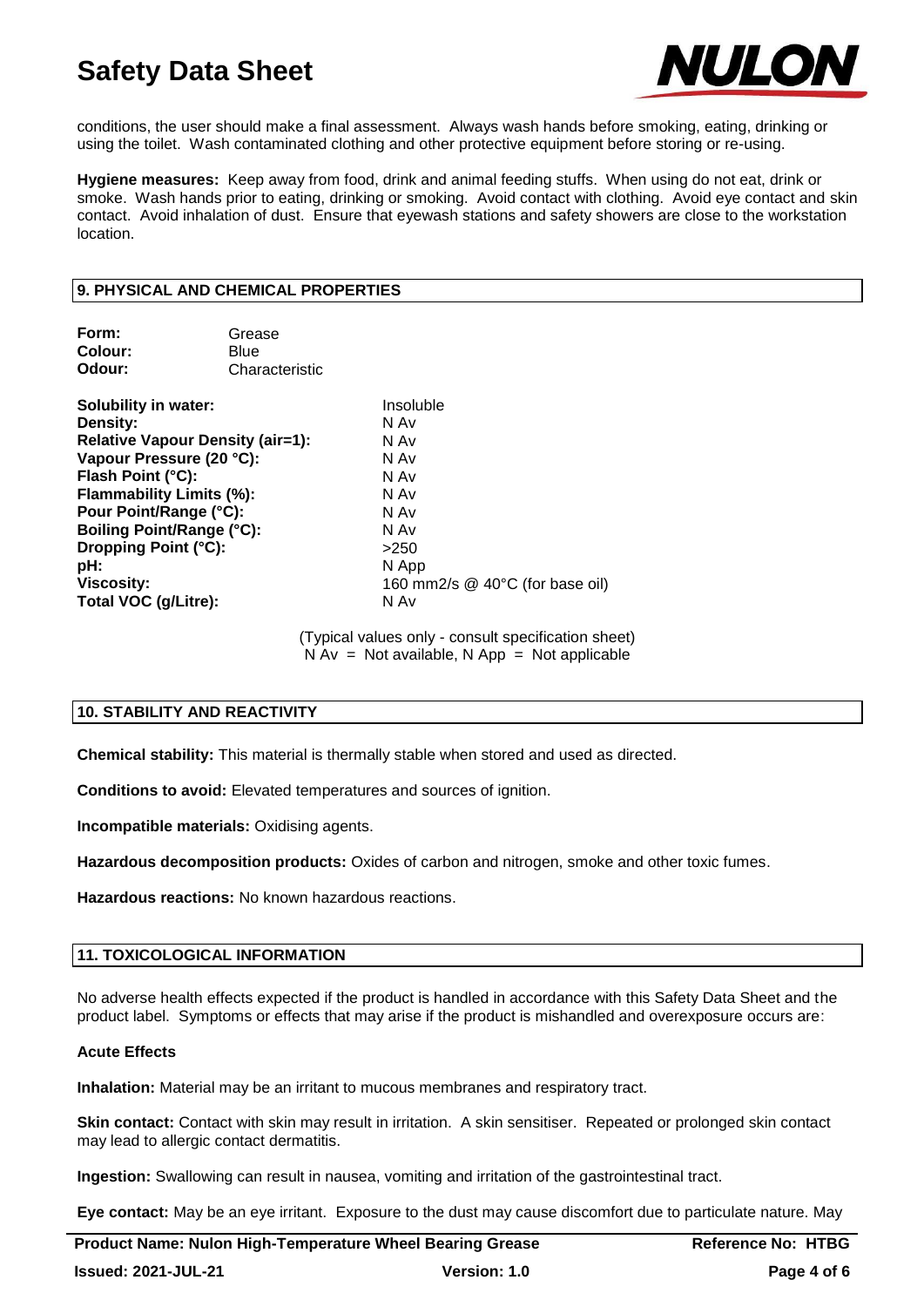

conditions, the user should make a final assessment. Always wash hands before smoking, eating, drinking or using the toilet. Wash contaminated clothing and other protective equipment before storing or re-using.

**Hygiene measures:** Keep away from food, drink and animal feeding stuffs. When using do not eat, drink or smoke. Wash hands prior to eating, drinking or smoking. Avoid contact with clothing. Avoid eye contact and skin contact. Avoid inhalation of dust. Ensure that eyewash stations and safety showers are close to the workstation location.

## **9. PHYSICAL AND CHEMICAL PROPERTIES**

| Form:   | Grease         |
|---------|----------------|
| Colour: | Blue           |
| Odour:  | Characteristic |

**Solubility in water:** Insoluble **Density:** N Av **Relative Vapour Density (air=1):** N Av **Vapour Pressure (20 °C):** N Av **Flash Point (°C):** N Av **Flammability Limits (%):** N Av **Pour Point/Range (°C):** N Av **Boiling Point/Range (°C):** N Av **Dropping Point (°C):**  $>250$ **pH:** N App **Viscosity:** 160 mm2/s @ 40°C (for base oil) **Total VOC (g/Litre):** N Av

> (Typical values only - consult specification sheet)  $N Av = Not available, N App = Not applicable$

## **10. STABILITY AND REACTIVITY**

**Chemical stability:** This material is thermally stable when stored and used as directed.

**Conditions to avoid:** Elevated temperatures and sources of ignition.

**Incompatible materials:** Oxidising agents.

**Hazardous decomposition products:** Oxides of carbon and nitrogen, smoke and other toxic fumes.

**Hazardous reactions:** No known hazardous reactions.

#### **11. TOXICOLOGICAL INFORMATION**

No adverse health effects expected if the product is handled in accordance with this Safety Data Sheet and the product label. Symptoms or effects that may arise if the product is mishandled and overexposure occurs are:

#### **Acute Effects**

**Inhalation:** Material may be an irritant to mucous membranes and respiratory tract.

**Skin contact:** Contact with skin may result in irritation. A skin sensitiser. Repeated or prolonged skin contact may lead to allergic contact dermatitis.

**Ingestion:** Swallowing can result in nausea, vomiting and irritation of the gastrointestinal tract.

**Eye contact:** May be an eye irritant. Exposure to the dust may cause discomfort due to particulate nature. May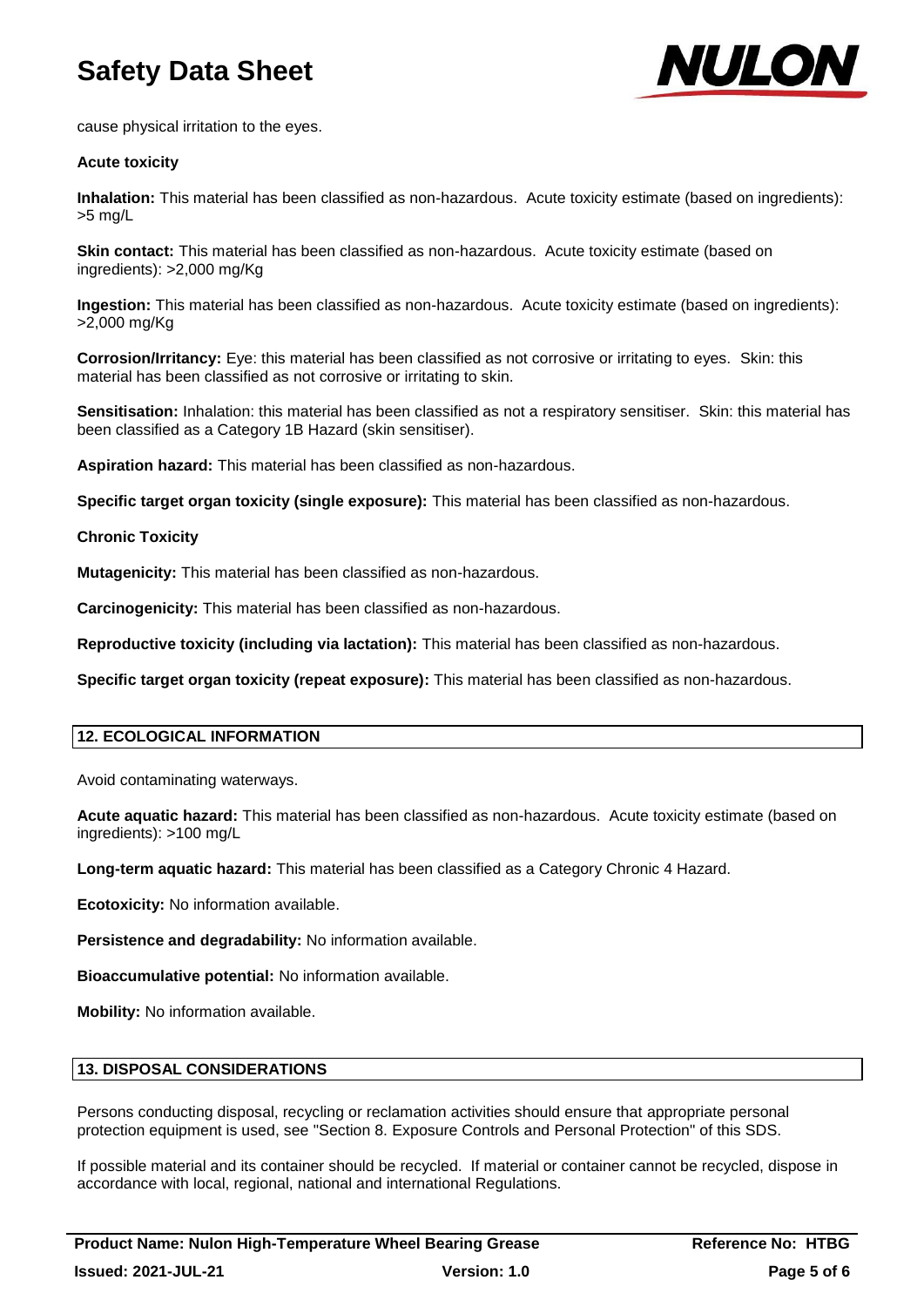

cause physical irritation to the eyes.

## **Acute toxicity**

**Inhalation:** This material has been classified as non-hazardous. Acute toxicity estimate (based on ingredients): >5 mg/L

**Skin contact:** This material has been classified as non-hazardous. Acute toxicity estimate (based on ingredients): >2,000 mg/Kg

**Ingestion:** This material has been classified as non-hazardous. Acute toxicity estimate (based on ingredients): >2,000 mg/Kg

**Corrosion/Irritancy:** Eye: this material has been classified as not corrosive or irritating to eyes. Skin: this material has been classified as not corrosive or irritating to skin.

**Sensitisation:** Inhalation: this material has been classified as not a respiratory sensitiser. Skin: this material has been classified as a Category 1B Hazard (skin sensitiser).

**Aspiration hazard:** This material has been classified as non-hazardous.

**Specific target organ toxicity (single exposure):** This material has been classified as non-hazardous.

**Chronic Toxicity**

**Mutagenicity:** This material has been classified as non-hazardous.

**Carcinogenicity:** This material has been classified as non-hazardous.

**Reproductive toxicity (including via lactation):** This material has been classified as non-hazardous.

**Specific target organ toxicity (repeat exposure):** This material has been classified as non-hazardous.

## **12. ECOLOGICAL INFORMATION**

Avoid contaminating waterways.

**Acute aquatic hazard:** This material has been classified as non-hazardous. Acute toxicity estimate (based on ingredients): >100 mg/L

**Long-term aquatic hazard:** This material has been classified as a Category Chronic 4 Hazard.

**Ecotoxicity:** No information available.

**Persistence and degradability:** No information available.

**Bioaccumulative potential:** No information available.

**Mobility:** No information available.

#### **13. DISPOSAL CONSIDERATIONS**

Persons conducting disposal, recycling or reclamation activities should ensure that appropriate personal protection equipment is used, see "Section 8. Exposure Controls and Personal Protection" of this SDS.

If possible material and its container should be recycled. If material or container cannot be recycled, dispose in accordance with local, regional, national and international Regulations.